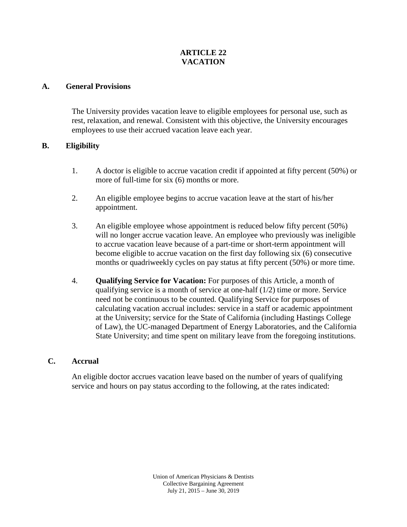## **ARTICLE 22 VACATION**

## **A. General Provisions**

The University provides vacation leave to eligible employees for personal use, such as rest, relaxation, and renewal. Consistent with this objective, the University encourages employees to use their accrued vacation leave each year.

## **B. Eligibility**

- 1. A doctor is eligible to accrue vacation credit if appointed at fifty percent (50%) or more of full-time for six (6) months or more.
- 2. An eligible employee begins to accrue vacation leave at the start of his/her appointment.
- 3. An eligible employee whose appointment is reduced below fifty percent (50%) will no longer accrue vacation leave. An employee who previously was ineligible to accrue vacation leave because of a part-time or short-term appointment will become eligible to accrue vacation on the first day following six (6) consecutive months or quadriweekly cycles on pay status at fifty percent (50%) or more time.
- 4. **Qualifying Service for Vacation:** For purposes of this Article, a month of qualifying service is a month of service at one-half (1/2) time or more. Service need not be continuous to be counted. Qualifying Service for purposes of calculating vacation accrual includes: service in a staff or academic appointment at the University; service for the State of California (including Hastings College of Law), the UC-managed Department of Energy Laboratories, and the California State University; and time spent on military leave from the foregoing institutions.

## **C. Accrual**

An eligible doctor accrues vacation leave based on the number of years of qualifying service and hours on pay status according to the following, at the rates indicated: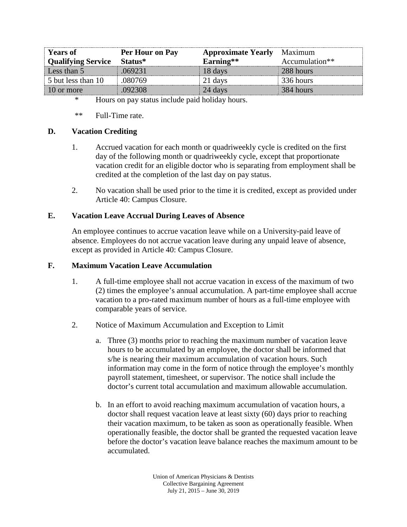| Years of           | Per Hour on Pay | <b>Approximate Yearly</b> | Maximum        |
|--------------------|-----------------|---------------------------|----------------|
| Qualifying Service | – Status*       | $\Lambda$ arning $^{**}$  | Accumulation** |
| Less than 5        |                 | davs                      | 288 hours      |
| 5 but less than 10 |                 | '.I davs                  | 336 hours      |
| 10 or more         |                 | 24 davs                   | 384 hours      |

\* Hours on pay status include paid holiday hours.

\*\* Full-Time rate.

## **D. Vacation Crediting**

- 1. Accrued vacation for each month or quadriweekly cycle is credited on the first day of the following month or quadriweekly cycle, except that proportionate vacation credit for an eligible doctor who is separating from employment shall be credited at the completion of the last day on pay status.
- 2. No vacation shall be used prior to the time it is credited, except as provided under Article 40: Campus Closure.

### **E. Vacation Leave Accrual During Leaves of Absence**

An employee continues to accrue vacation leave while on a University-paid leave of absence. Employees do not accrue vacation leave during any unpaid leave of absence, except as provided in Article 40: Campus Closure.

#### **F. Maximum Vacation Leave Accumulation**

- 1. A full-time employee shall not accrue vacation in excess of the maximum of two (2) times the employee's annual accumulation. A part-time employee shall accrue vacation to a pro-rated maximum number of hours as a full-time employee with comparable years of service.
- 2. Notice of Maximum Accumulation and Exception to Limit
	- a. Three (3) months prior to reaching the maximum number of vacation leave hours to be accumulated by an employee, the doctor shall be informed that s/he is nearing their maximum accumulation of vacation hours. Such information may come in the form of notice through the employee's monthly payroll statement, timesheet, or supervisor. The notice shall include the doctor's current total accumulation and maximum allowable accumulation.
	- b. In an effort to avoid reaching maximum accumulation of vacation hours, a doctor shall request vacation leave at least sixty (60) days prior to reaching their vacation maximum, to be taken as soon as operationally feasible. When operationally feasible, the doctor shall be granted the requested vacation leave before the doctor's vacation leave balance reaches the maximum amount to be accumulated.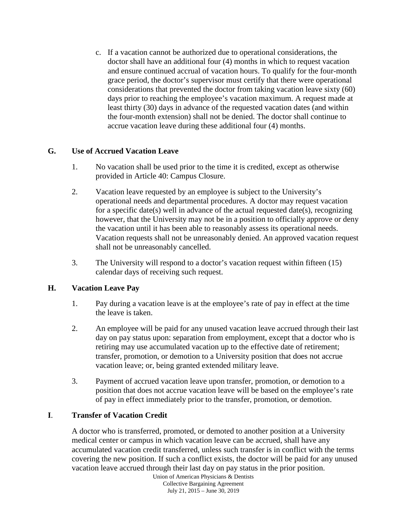c. If a vacation cannot be authorized due to operational considerations, the doctor shall have an additional four (4) months in which to request vacation and ensure continued accrual of vacation hours. To qualify for the four-month grace period, the doctor's supervisor must certify that there were operational considerations that prevented the doctor from taking vacation leave sixty (60) days prior to reaching the employee's vacation maximum. A request made at least thirty (30) days in advance of the requested vacation dates (and within the four-month extension) shall not be denied. The doctor shall continue to accrue vacation leave during these additional four (4) months.

## **G. Use of Accrued Vacation Leave**

- 1. No vacation shall be used prior to the time it is credited, except as otherwise provided in Article 40: Campus Closure.
- 2. Vacation leave requested by an employee is subject to the University's operational needs and departmental procedures. A doctor may request vacation for a specific date(s) well in advance of the actual requested date(s), recognizing however, that the University may not be in a position to officially approve or deny the vacation until it has been able to reasonably assess its operational needs. Vacation requests shall not be unreasonably denied. An approved vacation request shall not be unreasonably cancelled.
- 3. The University will respond to a doctor's vacation request within fifteen (15) calendar days of receiving such request.

# **H. Vacation Leave Pay**

- 1. Pay during a vacation leave is at the employee's rate of pay in effect at the time the leave is taken.
- 2. An employee will be paid for any unused vacation leave accrued through their last day on pay status upon: separation from employment, except that a doctor who is retiring may use accumulated vacation up to the effective date of retirement; transfer, promotion, or demotion to a University position that does not accrue vacation leave; or, being granted extended military leave.
- 3. Payment of accrued vacation leave upon transfer, promotion, or demotion to a position that does not accrue vacation leave will be based on the employee's rate of pay in effect immediately prior to the transfer, promotion, or demotion.

# **I**. **Transfer of Vacation Credit**

A doctor who is transferred, promoted, or demoted to another position at a University medical center or campus in which vacation leave can be accrued, shall have any accumulated vacation credit transferred, unless such transfer is in conflict with the terms covering the new position. If such a conflict exists, the doctor will be paid for any unused vacation leave accrued through their last day on pay status in the prior position.